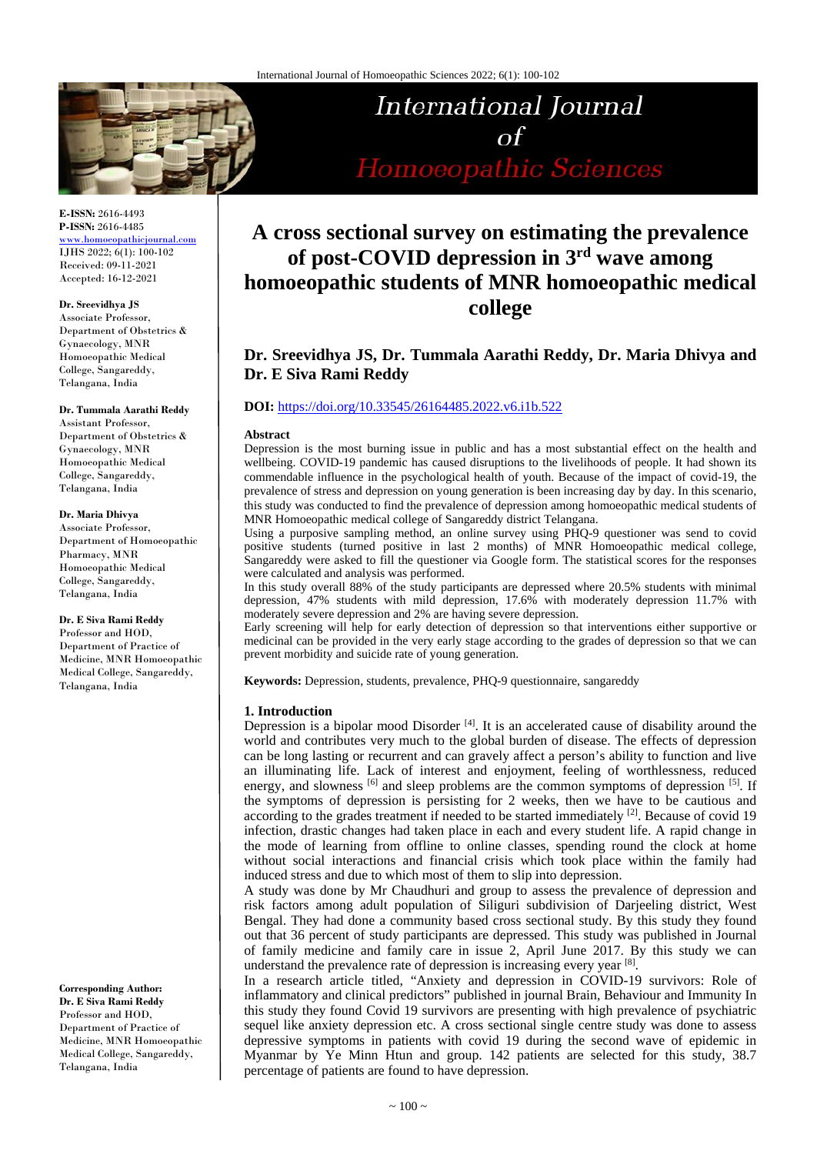

# International Journal  $\Omega$ Homoeopathic Sciences

**E-ISSN:** 2616-4493 **P-ISSN:** 2616-4485 [www.homoeopathicjournal.com](file://Server/test/homoeopathicjournal/issue/vol%204/issue%201/www.homoeopathicjournal.com)

IJHS 2022; 6(1): 100-102 Received: 09-11-2021 Accepted: 16-12-2021

**Dr. Sreevidhya JS** Associate Professor, Department of Obstetrics & Gynaecology, MNR Homoeopathic Medical College, Sangareddy, Telangana, India

#### **Dr. Tummala Aarathi Reddy**

Assistant Professor, Department of Obstetrics & Gynaecology, MNR Homoeopathic Medical College, Sangareddy, Telangana, India

#### **Dr. Maria Dhivya**

Associate Professor, Department of Homoeopathic Pharmacy, MNR Homoeopathic Medical College, Sangareddy, Telangana, India

**Dr. E Siva Rami Reddy** Professor and HOD,

Department of Practice of Medicine, MNR Homoeopathic Medical College, Sangareddy, Telangana, India

**Corresponding Author: Dr. E Siva Rami Reddy** Professor and HOD, Department of Practice of Medicine, MNR Homoeopathic Medical College, Sangareddy, Telangana, India

# **A cross sectional survey on estimating the prevalence of post-COVID depression in 3rd wave among homoeopathic students of MNR homoeopathic medical college**

# **Dr. Sreevidhya JS, Dr. Tummala Aarathi Reddy, Dr. Maria Dhivya and Dr. E Siva Rami Reddy**

## **DOI:** <https://doi.org/10.33545/26164485.2022.v6.i1b.522>

#### **Abstract**

Depression is the most burning issue in public and has a most substantial effect on the health and wellbeing. COVID-19 pandemic has caused disruptions to the livelihoods of people. It had shown its commendable influence in the psychological health of youth. Because of the impact of covid-19, the prevalence of stress and depression on young generation is been increasing day by day. In this scenario, this study was conducted to find the prevalence of depression among homoeopathic medical students of MNR Homoeopathic medical college of Sangareddy district Telangana.

Using a purposive sampling method, an online survey using PHQ-9 questioner was send to covid positive students (turned positive in last 2 months) of MNR Homoeopathic medical college, Sangareddy were asked to fill the questioner via Google form. The statistical scores for the responses were calculated and analysis was performed.

In this study overall 88% of the study participants are depressed where 20.5% students with minimal depression, 47% students with mild depression, 17.6% with moderately depression 11.7% with moderately severe depression and 2% are having severe depression.

Early screening will help for early detection of depression so that interventions either supportive or medicinal can be provided in the very early stage according to the grades of depression so that we can prevent morbidity and suicide rate of young generation.

**Keywords:** Depression, students, prevalence, PHQ-9 questionnaire, sangareddy

#### **1. Introduction**

Depression is a bipolar mood Disorder<sup>[4]</sup>. It is an accelerated cause of disability around the world and contributes very much to the global burden of disease. The effects of depression can be long lasting or recurrent and can gravely affect a person's ability to function and live an illuminating life. Lack of interest and enjoyment, feeling of worthlessness, reduced energy, and slowness [6] and sleep problems are the common symptoms of depression [5]. If the symptoms of depression is persisting for 2 weeks, then we have to be cautious and according to the grades treatment if needed to be started immediately  $[2]$ . Because of covid 19 infection, drastic changes had taken place in each and every student life. A rapid change in the mode of learning from offline to online classes, spending round the clock at home without social interactions and financial crisis which took place within the family had induced stress and due to which most of them to slip into depression.

A study was done by Mr Chaudhuri and group to assess the prevalence of depression and risk factors among adult population of Siliguri subdivision of Darjeeling district, West Bengal. They had done a community based cross sectional study. By this study they found out that 36 percent of study participants are depressed. This study was published in Journal of family medicine and family care in issue 2, April June 2017. By this study we can understand the prevalence rate of depression is increasing every year [8].

In a research article titled, "Anxiety and depression in COVID-19 survivors: Role of inflammatory and clinical predictors" published in journal Brain, Behaviour and Immunity In this study they found Covid 19 survivors are presenting with high prevalence of psychiatric sequel like anxiety depression etc. A cross sectional single centre study was done to assess depressive symptoms in patients with covid 19 during the second wave of epidemic in Myanmar by Ye Minn Htun and group. 142 patients are selected for this study, 38.7 percentage of patients are found to have depression.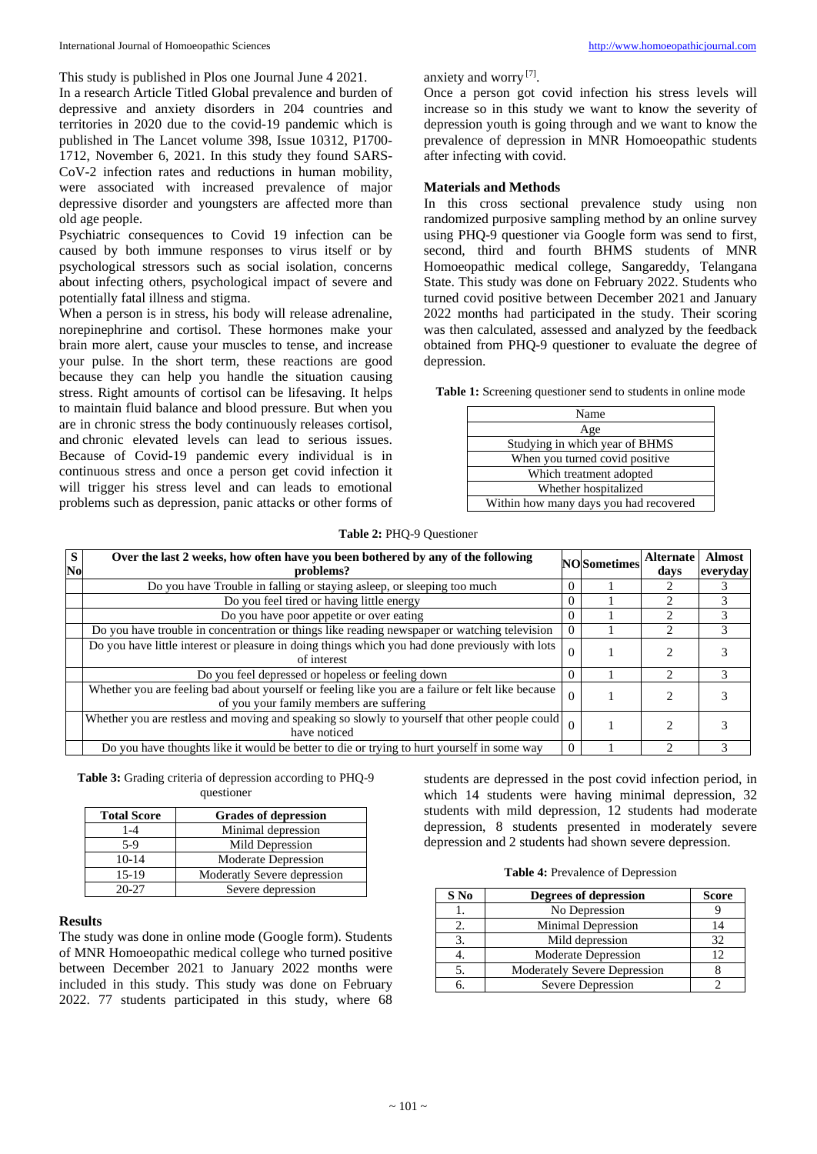This study is published in Plos one Journal June 4 2021.

In a research Article Titled Global prevalence and burden of depressive and anxiety disorders in 204 countries and territories in 2020 due to the covid-19 pandemic which is published in The Lancet volume 398, Issue 10312, P1700- 1712, November 6, 2021. In this study they found SARS-CoV-2 infection rates and reductions in human mobility, were associated with increased prevalence of major depressive disorder and youngsters are affected more than old age people.

Psychiatric consequences to Covid 19 infection can be caused by both immune responses to virus itself or by psychological stressors such as social isolation, concerns about infecting others, psychological impact of severe and potentially fatal illness and stigma.

When a person is in stress, his body will release adrenaline, norepinephrine and cortisol. These hormones make your brain more alert, cause your muscles to tense, and increase your pulse. In the short term, these reactions are good because they can help you handle the situation causing stress. Right amounts of cortisol can be lifesaving. It helps to maintain fluid balance and blood pressure. But when you are in chronic stress the body continuously releases cortisol, and chronic elevated levels can lead to serious issues. Because of Covid-19 pandemic every individual is in continuous stress and once a person get covid infection it will trigger his stress level and can leads to emotional problems such as depression, panic attacks or other forms of anxiety and worry [7] .

Once a person got covid infection his stress levels will increase so in this study we want to know the severity of depression youth is going through and we want to know the prevalence of depression in MNR Homoeopathic students after infecting with covid.

#### **Materials and Methods**

In this cross sectional prevalence study using non randomized purposive sampling method by an online survey using PHQ-9 questioner via Google form was send to first, second, third and fourth BHMS students of MNR Homoeopathic medical college, Sangareddy, Telangana State. This study was done on February 2022. Students who turned covid positive between December 2021 and January 2022 months had participated in the study. Their scoring was then calculated, assessed and analyzed by the feedback obtained from PHQ-9 questioner to evaluate the degree of depression.

**Table 1:** Screening questioner send to students in online mode

| Name                                   |  |
|----------------------------------------|--|
| Age                                    |  |
| Studying in which year of BHMS         |  |
| When you turned covid positive         |  |
| Which treatment adopted                |  |
| Whether hospitalized                   |  |
| Within how many days you had recovered |  |

#### **Table 2:** PHQ-9 Questioner

| S<br>No | Over the last 2 weeks, how often have you been bothered by any of the following<br>problems?                                                  |          | <b>NO</b> Sometimes | <b>Alternate</b><br>days      | <b>Almost</b><br>everyday |
|---------|-----------------------------------------------------------------------------------------------------------------------------------------------|----------|---------------------|-------------------------------|---------------------------|
|         | Do you have Trouble in falling or staying asleep, or sleeping too much                                                                        | $\Omega$ |                     |                               |                           |
|         | Do you feel tired or having little energy                                                                                                     | $\theta$ |                     |                               |                           |
|         | Do you have poor appetite or over eating                                                                                                      |          |                     | $\mathcal{D}$                 | 3                         |
|         | Do you have trouble in concentration or things like reading newspaper or watching television                                                  | $\Omega$ |                     | 2                             | $\mathcal{R}$             |
|         | Do you have little interest or pleasure in doing things which you had done previously with lots<br>of interest                                | $\Omega$ |                     |                               |                           |
|         | Do you feel depressed or hopeless or feeling down                                                                                             | $\Omega$ |                     | $\mathfrak{D}_{\mathfrak{p}}$ | 3                         |
|         | Whether you are feeling bad about yourself or feeling like you are a failure or felt like because<br>of you your family members are suffering | $\Omega$ |                     |                               |                           |
|         | Whether you are restless and moving and speaking so slowly to yourself that other people could<br>have noticed                                |          |                     |                               |                           |
|         | Do you have thoughts like it would be better to die or trying to hurt yourself in some way                                                    |          |                     |                               |                           |

**Table 3:** Grading criteria of depression according to PHQ-9 questioner

| <b>Total Score</b> | <b>Grades of depression</b> |  |  |
|--------------------|-----------------------------|--|--|
| $1 - 4$            | Minimal depression          |  |  |
| $5-9$              | Mild Depression             |  |  |
| $10 - 14$          | <b>Moderate Depression</b>  |  |  |
| 15-19              | Moderatly Severe depression |  |  |
| $20 - 27$          | Severe depression           |  |  |

#### **Results**

The study was done in online mode (Google form). Students of MNR Homoeopathic medical college who turned positive between December 2021 to January 2022 months were included in this study. This study was done on February 2022. 77 students participated in this study, where 68 students are depressed in the post covid infection period, in which 14 students were having minimal depression, 32 students with mild depression, 12 students had moderate depression, 8 students presented in moderately severe depression and 2 students had shown severe depression.

| <b>Table 4: Prevalence of Depression</b> |  |  |
|------------------------------------------|--|--|
|------------------------------------------|--|--|

| $S$ No | <b>Degrees of depression</b>        | <b>Score</b> |
|--------|-------------------------------------|--------------|
|        | No Depression                       |              |
|        | Minimal Depression                  |              |
|        | Mild depression                     | 32           |
|        | <b>Moderate Depression</b>          | 12           |
|        | <b>Moderately Severe Depression</b> |              |
|        | Severe Depression                   |              |